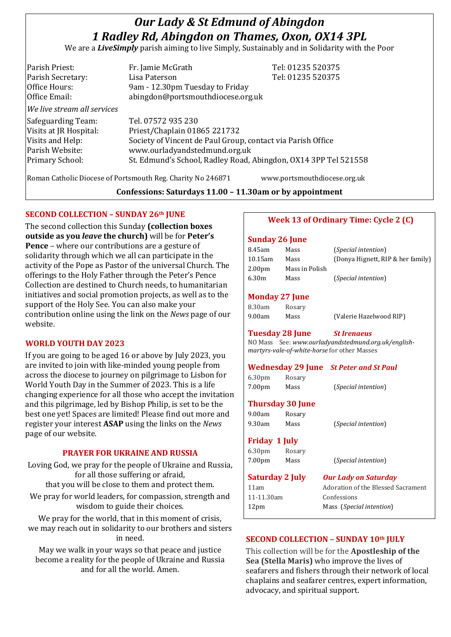# *Our Lady & St Edmund of Abingdon 1 Radley Rd, Abingdon on Thames, Oxon, OX14 3PL*

We are a *LiveSimply* parish aiming to live Simply, Sustainably and in Solidarity with the Poor

| Parish Priest:<br>Parish Secretary: | Fr. Jamie McGrath<br>Lisa Paterson                                   | Tel: 01235 520375<br>Tel: 01235 520375 |
|-------------------------------------|----------------------------------------------------------------------|----------------------------------------|
| Office Hours:<br>Office Email:      | 9am - 12.30pm Tuesday to Friday<br>abingdon@portsmouthdiocese.org.uk |                                        |
| We live stream all services         |                                                                      |                                        |
| Safeguarding Team:                  | Tel. 07572 935 230                                                   |                                        |
| Visits at JR Hospital:              | Priest/Chaplain 01865 221732                                         |                                        |
| Visits and Help:                    | Society of Vincent de Paul Group, contact via Parish Office          |                                        |
| Parish Website:                     | www.ourladyandstedmund.org.uk                                        |                                        |
| <b>Primary School:</b>              | St. Edmund's School, Radley Road, Abingdon, OX14 3PP Tel 521558      |                                        |
|                                     |                                                                      |                                        |

Roman Catholic Diocese of Portsmouth Reg. Charity No 246871 www.portsmouthdiocese.org.uk

**Confessions: Saturdays 11.00 – 11.30am or by appointment**

## **SECOND COLLECTION – SUNDAY 26th JUNE**

The second collection this Sunday **(collection boxes outside as you** *leave* **the church)** will be for **Peter's Pence** – where our contributions are a gesture of solidarity through which we all can participate in the activity of the Pope as Pastor of the universal Church. The offerings to the Holy Father through the Peter's Pence Collection are destined to Church needs, to humanitarian initiatives and social promotion projects, as well as to the support of the Holy See. You can also make your contribution online using the link on the *News* page of our website.

## **WORLD YOUTH DAY 2023**

If you are going to be aged 16 or above by July 2023, you are invited to join with like-minded young people from across the diocese to journey on pilgrimage to Lisbon for World Youth Day in the Summer of 2023. This is a life changing experience for all those who accept the invitation and this pilgrimage, led by Bishop Philip, is set to be the best one yet! Spaces are limited! Please find out more and register your interest **ASAP** using the links on the *News* page of our website.

## **PRAYER FOR UKRAINE AND RUSSIA**

Loving God, we pray for the people of Ukraine and Russia, for all those suffering or afraid, that you will be close to them and protect them.

We pray for world leaders, for compassion, strength and wisdom to guide their choices.

We pray for the world, that in this moment of crisis, we may reach out in solidarity to our brothers and sisters in need.

May we walk in your ways so that peace and justice become a reality for the people of Ukraine and Russia and for all the world. Amen.

## **Week 13 of Ordinary Time: Cycle 2 (C)**

### **Sunday 26 June**

| 8.45am             | Mass           | ( <i>Special intention</i> )      |
|--------------------|----------------|-----------------------------------|
| $10.15$ am         | Mass           | (Donya Hignett, RIP & her family) |
| 2.00 <sub>pm</sub> | Mass in Polish |                                   |
| 6.30m              | Mass           | <i>(Special intention)</i>        |
|                    |                |                                   |

### **Monday 27 June**

| 8.30am | Rosary |                         |
|--------|--------|-------------------------|
| 9.00am | Mass   | (Valerie Hazelwood RIP) |

## **Tuesday 28 June** *St Irenaeus*

NO Mass See: *www.ourladyandstedmund.org.uk/englishmartyrs-vale-of-white-horse* for other Masses

#### **Wednesday 29 June** *St Peter and St Paul*

| 6.30 <sub>pm</sub> | Rosary |                              |
|--------------------|--------|------------------------------|
| 7.00 <sub>pm</sub> | Mass   | ( <i>Special intention</i> ) |

## **Thursday 30 June**

| 9.00am | Rosary |                              |
|--------|--------|------------------------------|
| 9.30am | Mass   | ( <i>Special intention</i> ) |

## **Friday 1 July**

| 6.30 <sub>pm</sub> | Rosary |                              |
|--------------------|--------|------------------------------|
| 7.00 <sub>pm</sub> | Mass   | ( <i>Special intention</i> ) |

## **Saturday 2 July** *Our Lady on Saturday*

11am Adoration of the Blessed Sacrament 11-11.30am Confessions 12pm Mass (*Special intention*)

## **SECOND COLLECTION – SUNDAY 10th JULY**

This collection will be for the **Apostleship of the Sea (Stella Maris)** who improve the lives of seafarers and fishers through their network of local chaplains and seafarer centres, expert information, advocacy, and spiritual support.